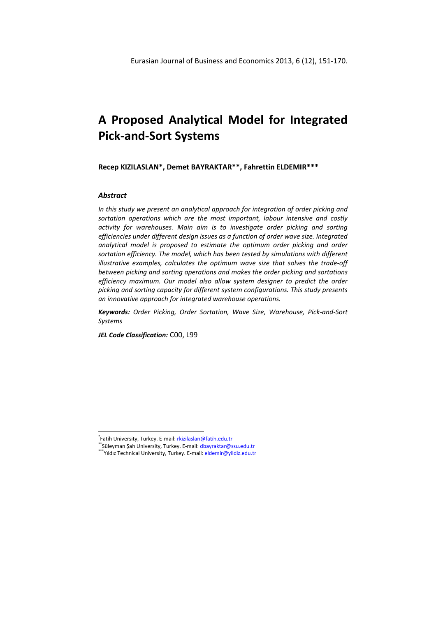# **A Proposed Analytical Model for Integrated Pick-and-Sort Systems**

**Recep KIZILASLAN\*, Demet BAYRAKTAR\*\*, Fahrettin ELDEMIR\*\*\*** 

## *Abstract*

 $\overline{a}$ 

*In this study we present an analytical approach for integration of order picking and sortation operations which are the most important, labour intensive and costly activity for warehouses. Main aim is to investigate order picking and sorting efficiencies under different design issues as a function of order wave size. Integrated analytical model is proposed to estimate the optimum order picking and order sortation efficiency. The model, which has been tested by simulations with different illustrative examples, calculates the optimum wave size that solves the trade-off between picking and sorting operations and makes the order picking and sortations efficiency maximum. Our model also allow system designer to predict the order picking and sorting capacity for different system configurations. This study presents an innovative approach for integrated warehouse operations.* 

*Keywords: Order Picking, Order Sortation, Wave Size, Warehouse, Pick-and-Sort Systems*

*JEL Code Classification:* C00, L99

<sup>\*</sup>Fatih University, Turkey. E-mail: **rkizilaslan@fatih.edu.tr** 

<sup>\*\*</sup>Süleyman Şah University, Turkey. E-mail: dbayraktar@ssu.edu.tr

<sup>\*\*</sup>Yıldız Technical University, Turkey. E-mail: <u>eldemir@yildiz.edu.tr</u>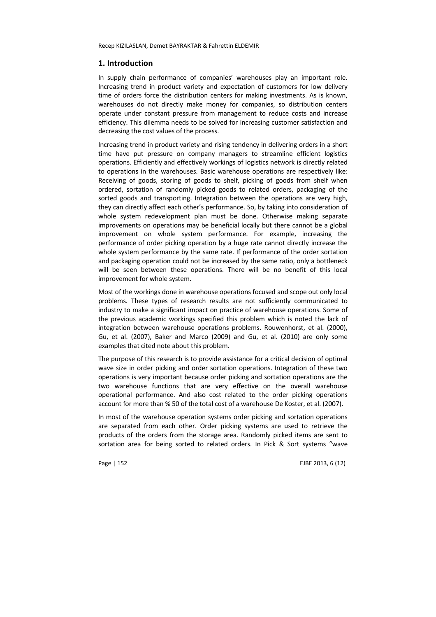## **1. Introduction**

In supply chain performance of companies' warehouses play an important role. Increasing trend in product variety and expectation of customers for low delivery time of orders force the distribution centers for making investments. As is known, warehouses do not directly make money for companies, so distribution centers operate under constant pressure from management to reduce costs and increase efficiency. This dilemma needs to be solved for increasing customer satisfaction and decreasing the cost values of the process.

Increasing trend in product variety and rising tendency in delivering orders in a short time have put pressure on company managers to streamline efficient logistics operations. Efficiently and effectively workings of logistics network is directly related to operations in the warehouses. Basic warehouse operations are respectively like: Receiving of goods, storing of goods to shelf, picking of goods from shelf when ordered, sortation of randomly picked goods to related orders, packaging of the sorted goods and transporting. Integration between the operations are very high, they can directly affect each other's performance. So, by taking into consideration of whole system redevelopment plan must be done. Otherwise making separate improvements on operations may be beneficial locally but there cannot be a global improvement on whole system performance. For example, increasing the performance of order picking operation by a huge rate cannot directly increase the whole system performance by the same rate. If performance of the order sortation and packaging operation could not be increased by the same ratio, only a bottleneck will be seen between these operations. There will be no benefit of this local improvement for whole system.

Most of the workings done in warehouse operations focused and scope out only local problems. These types of research results are not sufficiently communicated to industry to make a significant impact on practice of warehouse operations. Some of the previous academic workings specified this problem which is noted the lack of integration between warehouse operations problems. Rouwenhorst, et al. (2000), Gu, et al. (2007), Baker and Marco (2009) and Gu, et al. (2010) are only some examples that cited note about this problem.

The purpose of this research is to provide assistance for a critical decision of optimal wave size in order picking and order sortation operations. Integration of these two operations is very important because order picking and sortation operations are the two warehouse functions that are very effective on the overall warehouse operational performance. And also cost related to the order picking operations account for more than % 50 of the total cost of a warehouse De Koster, et al. (2007).

In most of the warehouse operation systems order picking and sortation operations are separated from each other. Order picking systems are used to retrieve the products of the orders from the storage area. Randomly picked items are sent to sortation area for being sorted to related orders. In Pick & Sort systems "wave

Page | 152 **EJBE 2013, 6 (12)**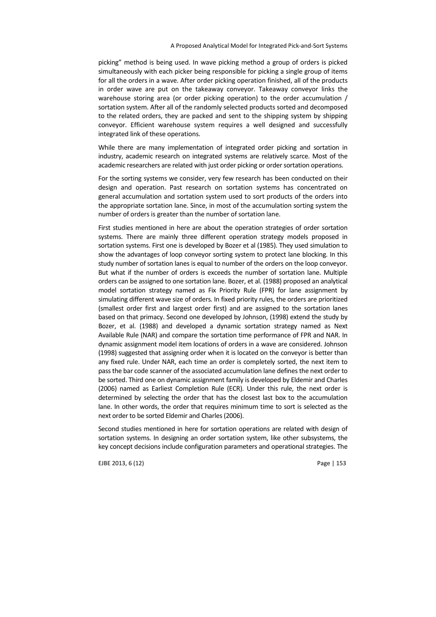picking" method is being used. In wave picking method a group of orders is picked simultaneously with each picker being responsible for picking a single group of items for all the orders in a wave. After order picking operation finished, all of the products in order wave are put on the takeaway conveyor. Takeaway conveyor links the warehouse storing area (or order picking operation) to the order accumulation / sortation system. After all of the randomly selected products sorted and decomposed to the related orders, they are packed and sent to the shipping system by shipping conveyor. Efficient warehouse system requires a well designed and successfully integrated link of these operations.

While there are many implementation of integrated order picking and sortation in industry, academic research on integrated systems are relatively scarce. Most of the academic researchers are related with just order picking or order sortation operations.

For the sorting systems we consider, very few research has been conducted on their design and operation. Past research on sortation systems has concentrated on general accumulation and sortation system used to sort products of the orders into the appropriate sortation lane. Since, in most of the accumulation sorting system the number of orders is greater than the number of sortation lane.

First studies mentioned in here are about the operation strategies of order sortation systems. There are mainly three different operation strategy models proposed in sortation systems. First one is developed by Bozer et al (1985). They used simulation to show the advantages of loop conveyor sorting system to protect lane blocking. In this study number of sortation lanes is equal to number of the orders on the loop conveyor. But what if the number of orders is exceeds the number of sortation lane. Multiple orders can be assigned to one sortation lane. Bozer, et al. (1988) proposed an analytical model sortation strategy named as Fix Priority Rule (FPR) for lane assignment by simulating different wave size of orders. In fixed priority rules, the orders are prioritized (smallest order first and largest order first) and are assigned to the sortation lanes based on that primacy. Second one developed by Johnson, (1998) extend the study by Bozer, et al. (1988) and developed a dynamic sortation strategy named as Next Available Rule (NAR) and compare the sortation time performance of FPR and NAR. In dynamic assignment model item locations of orders in a wave are considered. Johnson (1998) suggested that assigning order when it is located on the conveyor is better than any fixed rule. Under NAR, each time an order is completely sorted, the next item to pass the bar code scanner of the associated accumulation lane defines the next order to be sorted. Third one on dynamic assignment family is developed by Eldemir and Charles (2006) named as Earliest Completion Rule (ECR). Under this rule, the next order is determined by selecting the order that has the closest last box to the accumulation lane. In other words, the order that requires minimum time to sort is selected as the next order to be sorted Eldemir and Charles (2006).

Second studies mentioned in here for sortation operations are related with design of sortation systems. In designing an order sortation system, like other subsystems, the key concept decisions include configuration parameters and operational strategies. The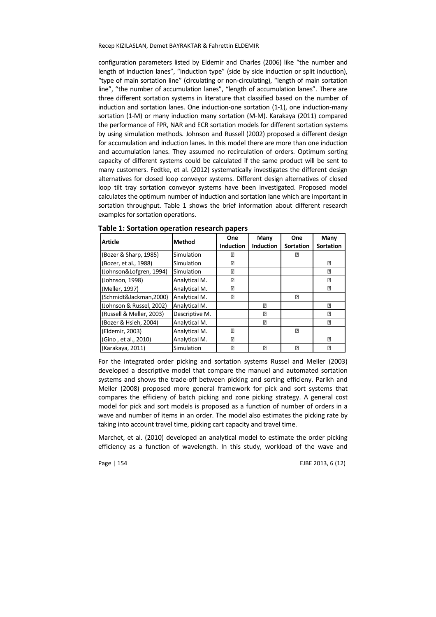configuration parameters listed by Eldemir and Charles (2006) like "the number and length of induction lanes", "induction type" (side by side induction or split induction), "type of main sortation line" (circulating or non-circulating), "length of main sortation line", "the number of accumulation lanes", "length of accumulation lanes". There are three different sortation systems in literature that classified based on the number of induction and sortation lanes. One induction-one sortation (1-1), one induction-many sortation (1-M) or many induction many sortation (M-M). Karakaya (2011) compared the performance of FPR, NAR and ECR sortation models for different sortation systems by using simulation methods. Johnson and Russell (2002) proposed a different design for accumulation and induction lanes. In this model there are more than one induction and accumulation lanes. They assumed no recirculation of orders. Optimum sorting capacity of different systems could be calculated if the same product will be sent to many customers. Fedtke, et al. (2012) systematically investigates the different design alternatives for closed loop conveyor systems. Different design alternatives of closed loop tilt tray sortation conveyor systems have been investigated. Proposed model calculates the optimum number of induction and sortation lane which are important in sortation throughput. Table 1 shows the brief information about different research examples for sortation operations.

| <b>Article</b>           | <b>Method</b>  | One              | Many             | One              | Many             |
|--------------------------|----------------|------------------|------------------|------------------|------------------|
|                          |                | <b>Induction</b> | <b>Induction</b> | <b>Sortation</b> | <b>Sortation</b> |
| (Bozer & Sharp, 1985)    | Simulation     | ?                |                  | 卪                |                  |
| (Bozer, et al., 1988)    | Simulation     | ?                |                  |                  | ?                |
| (Johnson&Lofgren, 1994)  | Simulation     | ?                |                  |                  | 3                |
| (Johnson, 1998)          | Analytical M.  | ?                |                  |                  | ?                |
| (Meller, 1997)           | Analytical M.  | 3                |                  |                  | 3                |
| (Schmidt&Jackman,2000)   | Analytical M.  | ?                |                  | 3                |                  |
| (Johnson & Russel, 2002) | Analytical M.  |                  | 3                |                  | ?                |
| (Russell & Meller, 2003) | Descriptive M. |                  | ?                |                  | ?                |
| (Bozer & Hsieh, 2004)    | Analytical M.  |                  | 3                |                  | 3                |
| (Eldemir, 2003)          | Analytical M.  | ₽                |                  | ₽                |                  |
| (Gino, et al., 2010)     | Analytical M.  | ?                |                  |                  | 卪                |
| (Karakaya, 2011)         | Simulation     | ?                | 3                | ?                | ?                |

**Table 1: Sortation operation research papers** 

For the integrated order picking and sortation systems Russel and Meller (2003) developed a descriptive model that compare the manuel and automated sortation systems and shows the trade-off between picking and sorting efficieny. Parikh and Meller (2008) proposed more general framework for pick and sort systems that compares the efficieny of batch picking and zone picking strategy. A general cost model for pick and sort models is proposed as a function of number of orders in a wave and number of items in an order. The model also estimates the picking rate by taking into account travel time, picking cart capacity and travel time.

Marchet, et al. (2010) developed an analytical model to estimate the order picking efficiency as a function of wavelength. In this study, workload of the wave and

Page | 154 EJBE 2013, 6 (12)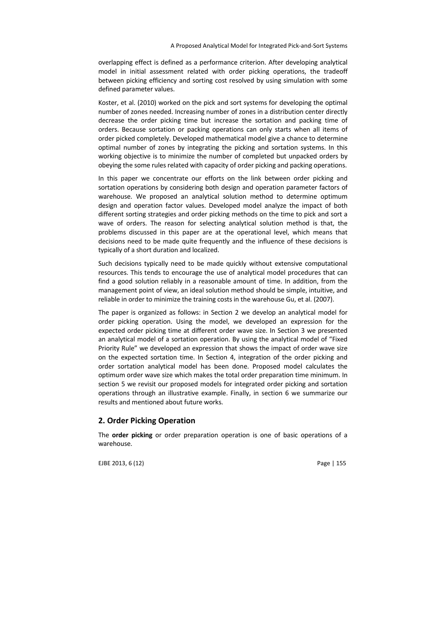overlapping effect is defined as a performance criterion. After developing analytical model in initial assessment related with order picking operations, the tradeoff between picking efficiency and sorting cost resolved by using simulation with some defined parameter values.

Koster, et al. (2010) worked on the pick and sort systems for developing the optimal number of zones needed. Increasing number of zones in a distribution center directly decrease the order picking time but increase the sortation and packing time of orders. Because sortation or packing operations can only starts when all items of order picked completely. Developed mathematical model give a chance to determine optimal number of zones by integrating the picking and sortation systems. In this working objective is to minimize the number of completed but unpacked orders by obeying the some rules related with capacity of order picking and packing operations.

In this paper we concentrate our efforts on the link between order picking and sortation operations by considering both design and operation parameter factors of warehouse. We proposed an analytical solution method to determine optimum design and operation factor values. Developed model analyze the impact of both different sorting strategies and order picking methods on the time to pick and sort a wave of orders. The reason for selecting analytical solution method is that, the problems discussed in this paper are at the operational level, which means that decisions need to be made quite frequently and the influence of these decisions is typically of a short duration and localized.

Such decisions typically need to be made quickly without extensive computational resources. This tends to encourage the use of analytical model procedures that can find a good solution reliably in a reasonable amount of time. In addition, from the management point of view, an ideal solution method should be simple, intuitive, and reliable in order to minimize the training costs in the warehouse Gu, et al. (2007).

The paper is organized as follows: in Section 2 we develop an analytical model for order picking operation. Using the model, we developed an expression for the expected order picking time at different order wave size. In Section 3 we presented an analytical model of a sortation operation. By using the analytical model of "Fixed Priority Rule" we developed an expression that shows the impact of order wave size on the expected sortation time. In Section 4, integration of the order picking and order sortation analytical model has been done. Proposed model calculates the optimum order wave size which makes the total order preparation time minimum. In section 5 we revisit our proposed models for integrated order picking and sortation operations through an illustrative example. Finally, in section 6 we summarize our results and mentioned about future works.

## **2. Order Picking Operation**

The **order picking** or order preparation operation is one of basic operations of a warehouse.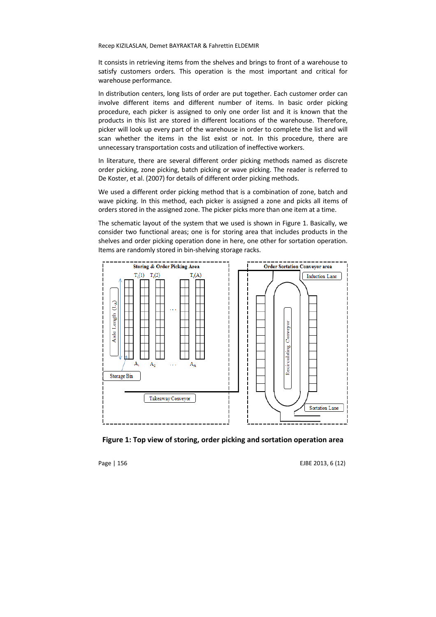It consists in retrieving items from the shelves and brings to front of a warehouse to satisfy customers orders. This operation is the most important and critical for warehouse performance.

In distribution centers, long lists of order are put together. Each customer order can involve different items and different number of items. In basic order picking procedure, each picker is assigned to only one order list and it is known that the products in this list are stored in different locations of the warehouse. Therefore, picker will look up every part of the warehouse in order to complete the list and will scan whether the items in the list exist or not. In this procedure, there are unnecessary transportation costs and utilization of ineffective workers.

In literature, there are several different order picking methods named as discrete order picking, zone picking, batch picking or wave picking. The reader is referred to De Koster, et al. (2007) for details of different order picking methods.

We used a different order picking method that is a combination of zone, batch and wave picking. In this method, each picker is assigned a zone and picks all items of orders stored in the assigned zone. The picker picks more than one item at a time.

The schematic layout of the system that we used is shown in Figure 1. Basically, we consider two functional areas; one is for storing area that includes products in the shelves and order picking operation done in here, one other for sortation operation. Items are randomly stored in bin-shelving storage racks.



**Figure 1: Top view of storing, order picking and sortation operation area** 

Page | 156 **EJBE 2013, 6 (12)**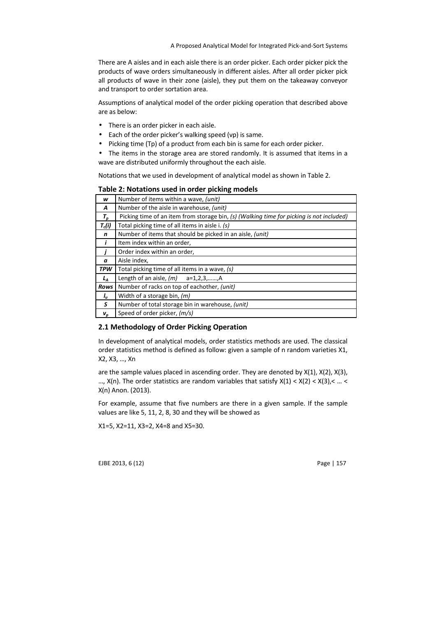There are A aisles and in each aisle there is an order picker. Each order picker pick the products of wave orders simultaneously in different aisles. After all order picker pick all products of wave in their zone (aisle), they put them on the takeaway conveyor and transport to order sortation area.

Assumptions of analytical model of the order picking operation that described above are as below:

- There is an order picker in each aisle.
- Each of the order picker's walking speed (vp) is same.
- Picking time (Tp) of a product from each bin is same for each order picker.
- The items in the storage area are stored randomly. It is assumed that items in a wave are distributed uniformly throughout the each aisle.

Notations that we used in development of analytical model as shown in Table 2.

| w                  | Number of items within a wave, (unit)                                                    |
|--------------------|------------------------------------------------------------------------------------------|
| A                  | Number of the aisle in warehouse, (unit)                                                 |
| $T_p$              | Picking time of an item from storage bin, (s) (Walking time for picking is not included) |
| $T_c(i)$           | Total picking time of all items in aisle i. (s)                                          |
| n                  | Number of items that should be picked in an aisle, (unit)                                |
| ,                  | Item index within an order,                                                              |
|                    | Order index within an order,                                                             |
| $\boldsymbol{a}$   | Aisle index,                                                                             |
| <b>TPW</b>         | Total picking time of all items in a wave, (s)                                           |
| $L_A$              | Length of an aisle, $(m)$ a=1,2,3,,A                                                     |
| Rows               | Number of racks on top of eachother, (unit)                                              |
| I <sub>u</sub>     | Width of a storage bin, $(m)$                                                            |
| S                  | Number of total storage bin in warehouse, (unit)                                         |
| $\boldsymbol{v}_p$ | Speed of order picker, (m/s)                                                             |

#### **Table 2: Notations used in order picking models**

### **2.1 Methodology of Order Picking Operation**

In development of analytical models, order statistics methods are used. The classical order statistics method is defined as follow: given a sample of n random varieties X1, X2, X3, …, Xn

are the sample values placed in ascending order. They are denoted by X(1), X(2), X(3), ...,  $X(n)$ . The order statistics are random variables that satisfy  $X(1) < X(2) < X(3)$ , < ... < X(n) Anon. (2013).

For example, assume that five numbers are there in a given sample. If the sample values are like 5, 11, 2, 8, 30 and they will be showed as

X1=5, X2=11, X3=2, X4=8 and X5=30.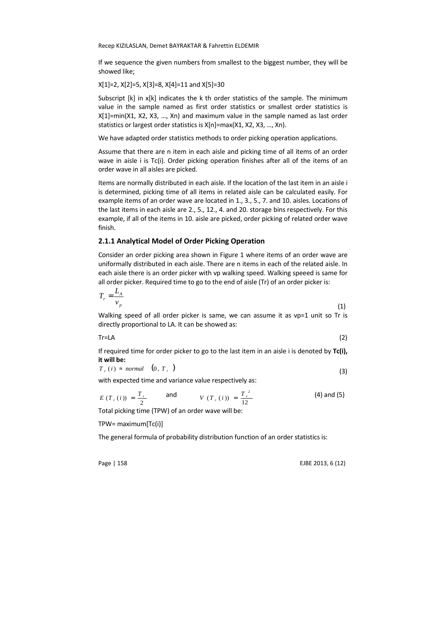If we sequence the given numbers from smallest to the biggest number, they will be showed like;

X[1]=2, X[2]=5, X[3]=8, X[4]=11 and X[5]=30

Subscript [k] in x[k] indicates the k th order statistics of the sample. The minimum value in the sample named as first order statistics or smallest order statistics is X[1]=min(X1, X2, X3, …, Xn) and maximum value in the sample named as last order statistics or largest order statistics is X[n]=max(X1, X2, X3, …, Xn).

We have adapted order statistics methods to order picking operation applications.

Assume that there are n item in each aisle and picking time of all items of an order wave in aisle i is Tc(i). Order picking operation finishes after all of the items of an order wave in all aisles are picked.

Items are normally distributed in each aisle. If the location of the last item in an aisle i is determined, picking time of all items in related aisle can be calculated easily. For example items of an order wave are located in 1., 3., 5., 7. and 10. aisles. Locations of the last items in each aisle are 2., 5., 12., 4. and 20. storage bins respectively. For this example, if all of the items in 10. aisle are picked, order picking of related order wave finish.

#### **2.1.1 Analytical Model of Order Picking Operation**

Consider an order picking area shown in Figure 1 where items of an order wave are uniformally distributed in each aisle. There are n items in each of the related aisle. In each aisle there is an order picker with vp walking speed. Walking speeed is same for all order picker. Required time to go to the end of aisle (Tr) of an order picker is:

$$
T_r = \frac{L_A}{v_p} \tag{1}
$$

Walking speed of all order picker is same, we can assume it as vp=1 unit so Tr is directly proportional to LA. It can be showed as:

$$
Tr=LA
$$
 (2)

If required time for order picker to go to the last item in an aisle i is denoted by **Tc(i), it will be:** ( ) *<sup>c</sup> normal <sup>T</sup> <sup>r</sup> <sup>T</sup> <sup>i</sup>* )( <sup>≈</sup> ,0

$$
T_c(i) \approx normal \quad (0, T_r) \tag{3}
$$

with expected time and variance value respectively as:

$$
E(T_c(i)) = \frac{T_r}{2}
$$
 and  $V(T_c(i)) = \frac{T_r^2}{12}$  (4) and (5)

Total picking time (TPW) of an order wave will be:

TPW= maximum[Tc(i)]

The general formula of probability distribution function of an order statistics is:

Page | 158 **EJBE 2013, 6 (12)**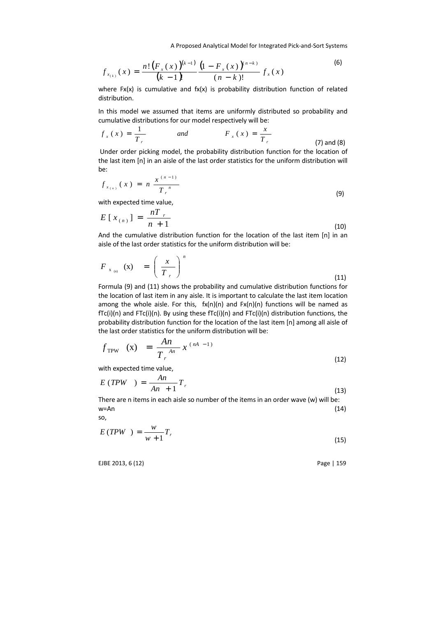A Proposed Analytical Model for Integrated Pick-and-Sort Systems

$$
f_{x_{(k)}}(x) = \frac{n! (F_x(x))^{(k-1)}}{(k-1)!} \frac{(1-F_x(x))^{(n-k)}}{(n-k)!} f_x(x)
$$
 (6)

where  $Fx(x)$  is cumulative and  $fx(x)$  is probability distribution function of related distribution.

In this model we assumed that items are uniformly distributed so probability and cumulative distributions for our model respectively will be:

$$
f_x(x) = \frac{1}{T_r}
$$
 and 
$$
F_x(x) = \frac{x}{T_r}
$$
 (7) and (8)

 Under order picking model, the probability distribution function for the location of the last item [n] in an aisle of the last order statistics for the uniform distribution will be:

$$
f_{x_{(n)}}(x) = n \frac{x^{(n-1)}}{T_r} \tag{9}
$$

with expected time value,

$$
E[x_{(n)}] = \frac{nT_r}{n+1}
$$
 (10)

And the cumulative distribution function for the location of the last item [n] in an aisle of the last order statistics for the uniform distribution will be:

$$
F_{x_{(n)}}(x) = \left(\frac{x}{T_r}\right)^n \tag{11}
$$

Formula (9) and (11) shows the probability and cumulative distribution functions for the location of last item in any aisle. It is important to calculate the last item location among the whole aisle. For this,  $fx(n)(n)$  and  $Fx(n)(n)$  functions will be named as fTc(i)(n) and FTc(i)(n). By using these fTc(i)(n) and FTc(i)(n) distribution functions, the probability distribution function for the location of the last item [n] among all aisle of the last order statistics for the uniform distribution will be:

$$
f_{\text{TPW}} \quad (\text{x}) = \frac{An}{T_r} x^{(nA - 1)}
$$
\n(12)

with expected time value,

$$
E(TPW) = \frac{An}{An+1}T_r
$$
\n(13)

There are n items in each aisle so number of the items in an order wave (w) will be:  $w = An$  (14)

so,

$$
E(TPW) = \frac{w}{w+1}T_r
$$
\n(15)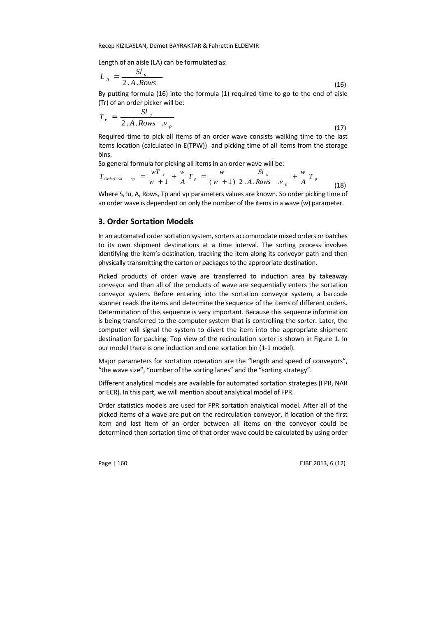Length of an aisle (LA) can be formulated as:

$$
L_A = \frac{Sl_u}{2.A.Rows}
$$
 (16)

By putting formula (16) into the formula (1) required time to go to the end of aisle (Tr) of an order picker will be:

$$
T_r = \frac{S l_u}{2.A.Rows \cdot v_p} \tag{17}
$$

Required time to pick all items of an order wave consists walking time to the last items location (calculated in E(TPW)) and picking time of all items from the storage bins.

So general formula for picking all items in an order wave will be:

$$
T_{\text{OrderPicki}} \quad_{\text{ng}} = \frac{wT_{r}}{w+1} + \frac{w}{A}T_{p} = \frac{w}{(w+1)} \frac{Sl_{u}}{2.A.Rows_{v}} + \frac{w}{A}T_{p}
$$
\n(18)

Where S, lu, A, Rows, Tp and vp parameters values are known. So order picking time of an order wave is dependent on only the number of the items in a wave (w) parameter.

## **3. Order Sortation Models**

In an automated order sortation system, sorters accommodate mixed orders or batches to its own shipment destinations at a time interval. The sorting process involves identifying the item's destination, tracking the item along its conveyor path and then physically transmitting the carton or packages to the appropriate destination.

Picked products of order wave are transferred to induction area by takeaway conveyor and than all of the products of wave are sequentially enters the sortation conveyor system. Before entering into the sortation conveyor system, a barcode scanner reads the items and determine the sequence of the items of different orders. Determination of this sequence is very important. Because this sequence information is being transferred to the computer system that is controlling the sorter. Later, the computer will signal the system to divert the item into the appropriate shipment destination for packing. Top view of the recirculation sorter is shown in Figure 1. In our model there is one induction and one sortation bin (1-1 model).

Major parameters for sortation operation are the "length and speed of conveyors", "the wave size", "number of the sorting lanes" and the "sorting strategy".

Different analytical models are available for automated sortation strategies (FPR, NAR or ECR). In this part, we will mention about analytical model of FPR.

Order statistics models are used for FPR sortation analytical model. After all of the picked items of a wave are put on the recirculation conveyor, if location of the first item and last item of an order between all items on the conveyor could be determined then sortation time of that order wave could be calculated by using order

Page | 160 **EJBE 2013, 6 (12)**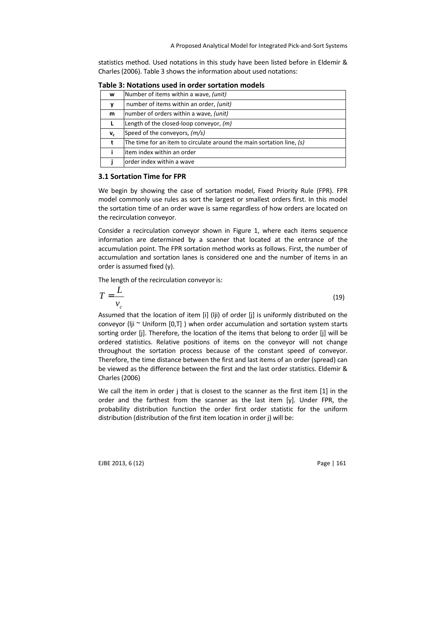statistics method. Used notations in this study have been listed before in Eldemir & Charles (2006). Table 3 shows the information about used notations:

| w                         | Number of items within a wave, (unit)                                 |
|---------------------------|-----------------------------------------------------------------------|
|                           | number of items within an order, (unit)                               |
| m                         | number of orders within a wave, (unit)                                |
|                           | Length of the closed-loop conveyor, $(m)$                             |
| $\mathsf{v}_{\mathsf{c}}$ | Speed of the conveyors, (m/s)                                         |
| t                         | The time for an item to circulate around the main sortation line, (s) |
|                           | litem index within an order                                           |
|                           | order index within a wave                                             |

**Table 3: Notations used in order sortation models** 

#### **3.1 Sortation Time for FPR**

We begin by showing the case of sortation model, Fixed Priority Rule (FPR). FPR model commonly use rules as sort the largest or smallest orders first. In this model the sortation time of an order wave is same regardless of how orders are located on the recirculation conveyor.

Consider a recirculation conveyor shown in Figure 1, where each items sequence information are determined by a scanner that located at the entrance of the accumulation point. The FPR sortation method works as follows. First, the number of accumulation and sortation lanes is considered one and the number of items in an order is assumed fixed (y).

The length of the recirculation conveyor is:

$$
T = \frac{L}{v_c} \tag{19}
$$

Assumed that the location of item [i] (lji) of order [j] is uniformly distributed on the conveyor (lji  $\sim$  Uniform [0,T] ) when order accumulation and sortation system starts sorting order [j]. Therefore, the location of the items that belong to order [j] will be ordered statistics. Relative positions of items on the conveyor will not change throughout the sortation process because of the constant speed of conveyor. Therefore, the time distance between the first and last items of an order (spread) can be viewed as the difference between the first and the last order statistics. Eldemir & Charles (2006)

We call the item in order j that is closest to the scanner as the first item [1] in the order and the farthest from the scanner as the last item [y]. Under FPR, the probability distribution function the order first order statistic for the uniform distribution (distribution of the first item location in order j) will be: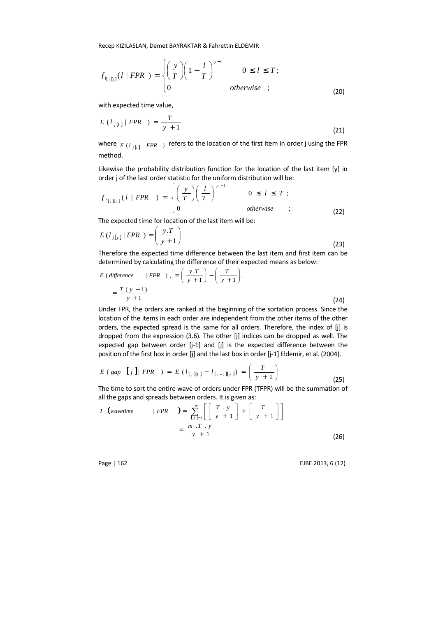$$
f_{I_{[j][i]}}(l \mid FPR) = \begin{cases} \left(\frac{y}{T}\right) \left(1 - \frac{l}{T}\right)^{y-1} & 0 \le l \le T; \\ 0 & otherwise \end{cases}
$$
 (20)

with expected time value,

$$
E\left(l_{j[1]}\mid FPR\right) = \frac{T}{y+1}
$$
\n(21)

where  $\left| E\left( l_{j\left[ 1\right] }\right|$  *FPR*  $\left| \right)$  refers to the location of the first item in order j using the FPR method.

Likewise the probability distribution function for the location of the last item [y] in order j of the last order statistic for the uniform distribution will be:

$$
f_{l_{[j][y]}}(l \mid FPR) = \begin{cases} \left(\frac{y}{T}\right) \left(\frac{l}{T}\right)^{y-1} & 0 \le l \le T; \\ 0 & \text{otherwise} \end{cases}
$$
 (22)

The expected time for location of the last item will be:

$$
E\left(l_{j[y]}\middle| FPR\right) = \left(\frac{y.T}{y+1}\right)
$$
\n(23)

Therefore the expected time difference between the last item and first item can be determined by calculating the difference of their expected means as below:

$$
E\left(\text{difference}\right) = \left(\frac{y \cdot T}{y+1}\right) - \left(\frac{T}{y+1}\right),
$$
\n
$$
= \frac{T\left(y-1\right)}{y+1}
$$
\n(24)

Under FPR, the orders are ranked at the beginning of the sortation process. Since the location of the items in each order are independent from the other items of the other orders, the expected spread is the same for all orders. Therefore, the index of [j] is dropped from the expression (3.6). The other [j] indices can be dropped as well. The expected gap between order [j-1] and [j] is the expected difference between the position of the first box in order [j] and the last box in order [j-1] Eldemir, et al. (2004).

$$
E\left(\text{gap } [j] | \text{ FPR }\right) = E\left(l_{[j][1]} - l_{[j-1][y]}\right) = \left(\frac{T}{y+1}\right)
$$
\n(25)

The time to sort the entire wave of orders under FPR (TFPR) will be the summation of all the gaps and spreads between orders. It is given as:

$$
T \text{ (wavetime} \qquad | \text{ } FPR \qquad \text{)} = \sum_{\substack{l,j=1 \\ y+1}}^m \left[ \left[ \frac{T \cdot y}{y+1} \right] + \left[ \frac{T}{y+1} \right] \right]
$$
\n
$$
= \frac{m \cdot T \cdot y}{y+1} \tag{26}
$$

Page | 162 EJBE 2013, 6 (12)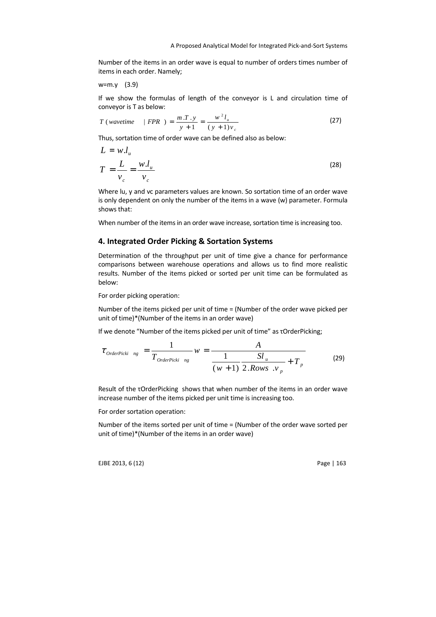Number of the items in an order wave is equal to number of orders times number of items in each order. Namely;

w=m.y (3.9)

If we show the formulas of length of the conveyor is L and circulation time of conveyor is T as below:

$$
T\ (wave time \quad | \ FPR \ ) = \frac{m \cdot T \cdot y}{y+1} = \frac{w^2 l_u}{(y+1) v_c} \tag{27}
$$

Thus, sortation time of order wave can be defined also as below:

$$
L = w.l_u
$$
  
\n
$$
T = \frac{L}{v_c} = \frac{w.l_u}{v_c}
$$
\n(28)

Where lu, y and vc parameters values are known. So sortation time of an order wave is only dependent on only the number of the items in a wave (w) parameter. Formula shows that:

When number of the items in an order wave increase, sortation time is increasing too.

## **4. Integrated Order Picking & Sortation Systems**

Determination of the throughput per unit of time give a chance for performance comparisons between warehouse operations and allows us to find more realistic results. Number of the items picked or sorted per unit time can be formulated as below:

For order picking operation:

Number of the items picked per unit of time = (Number of the order wave picked per unit of time)\*(Number of the items in an order wave)

If we denote "Number of the items picked per unit of time" as τOrderPicking;

$$
\tau_{OrderPicki\ ng} = \frac{1}{T_{OrderPicki\ ng}} \quad w = \frac{A}{\frac{1}{(w+1)} \frac{S l_u}{2.Rows \quad v_p} + T_p}
$$
(29)

Result of the τOrderPicking shows that when number of the items in an order wave increase number of the items picked per unit time is increasing too.

For order sortation operation:

Number of the items sorted per unit of time = (Number of the order wave sorted per unit of time)\*(Number of the items in an order wave)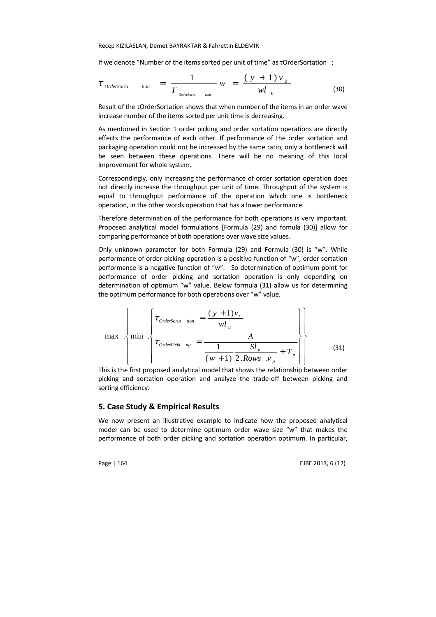If we denote "Number of the items sorted per unit of time" as τOrderSortation ;

$$
\tau_{\text{OrderSorta}} \quad \text{tion} \quad = \; \frac{1}{T_{\text{OrderSorta}} \quad \text{non}} \; w \; = \; \frac{(\; y \; + \; 1 \; ) \; v \;}{w l \; u} \tag{30}
$$

Result of the τOrderSortation shows that when number of the items in an order wave increase number of the items sorted per unit time is decreasing.

As mentioned in Section 1 order picking and order sortation operations are directly effects the performance of each other. If performance of the order sortation and packaging operation could not be increased by the same ratio, only a bottleneck will be seen between these operations. There will be no meaning of this local improvement for whole system.

Correspondingly, only increasing the performance of order sortation operation does not directly increase the throughput per unit of time. Throughput of the system is equal to throughput performance of the operation which one is bottleneck operation, in the other words operation that has a lower performance.

Therefore determination of the performance for both operations is very important. Proposed analytical model formulations [Formula (29) and fomula (30)] allow for comparing performance of both operations over wave size values.

Only unknown parameter for both Formula (29) and Formula (30) is "w". While performance of order picking operation is a positive function of "w", order sortation performance is a negative function of "w". So determination of optimum point for performance of order picking and sortation operation is only depending on determination of optimum "w" value. Below formula (31) allow us for determining the optimum performance for both operations over "w" value.

$$
\max \left\{\min \left\{\tau_{\text{orderSorta}} - \min_{mg} = \frac{(y+1)v_c}{wl_u} \right\}\n\right\}
$$
\n
$$
\tau_{\text{orderPicki}} = \frac{A}{\frac{1}{(w+1)} \frac{Sl_u}{2.Rows \cdot v_p} + T_p}\n\right\}
$$
\n(31)

This is the first proposed analytical model that shows the relationship between order picking and sortation operation and analyze the trade-off between picking and sorting efficiency.

## **5. Case Study & Empirical Results**

We now present an illustrative example to indicate how the proposed analytical model can be used to determine optimum order wave size "w" that makes the performance of both order picking and sortation operation optimum. In particular,

Page | 164 EJBE 2013, 6 (12)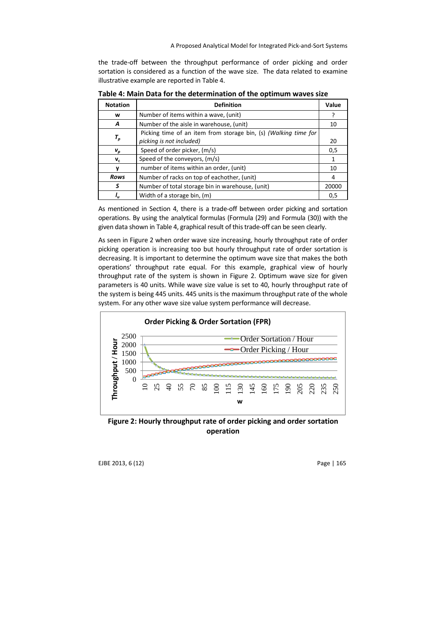the trade-off between the throughput performance of order picking and order sortation is considered as a function of the wave size. The data related to examine illustrative example are reported in Table 4.

| <b>Notation</b>                  | <b>Definition</b>                                                                           | Value |
|----------------------------------|---------------------------------------------------------------------------------------------|-------|
| w                                | Number of items within a wave, (unit)                                                       |       |
| A                                | Number of the aisle in warehouse, (unit)                                                    | 10    |
| $\tau_{\scriptscriptstyle \rho}$ | Picking time of an item from storage bin, (s) (Walking time for<br>picking is not included) | 20    |
| $\boldsymbol{V}_D$               | Speed of order picker, (m/s)                                                                | 0,5   |
| $V_c$                            | Speed of the conveyors, (m/s)                                                               | 1     |
| v                                | number of items within an order, (unit)                                                     | 10    |
| Rows                             | Number of racks on top of eachother, (unit)                                                 | 4     |
| S                                | Number of total storage bin in warehouse, (unit)                                            | 20000 |
|                                  | Width of a storage bin, (m)                                                                 | 0,5   |

**Table 4: Main Data for the determination of the optimum waves size** 

As mentioned in Section 4, there is a trade-off between order picking and sortation operations. By using the analytical formulas (Formula (29) and Formula (30)) with the given data shown in Table 4, graphical result of this trade-off can be seen clearly.

As seen in Figure 2 when order wave size increasing, hourly throughput rate of order picking operation is increasing too but hourly throughput rate of order sortation is decreasing. It is important to determine the optimum wave size that makes the both operations' throughput rate equal. For this example, graphical view of hourly throughput rate of the system is shown in Figure 2. Optimum wave size for given parameters is 40 units. While wave size value is set to 40, hourly throughput rate of the system is being 445 units. 445 units is the maximum throughput rate of the whole system. For any other wave size value system performance will decrease.



**Figure 2: Hourly throughput rate of order picking and order sortation operation**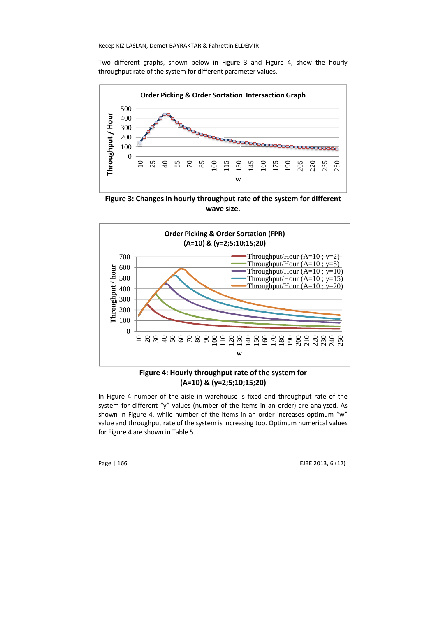Two different graphs, shown below in Figure 3 and Figure 4, show the hourly throughput rate of the system for different parameter values.



Figure 3: Changes in hourly throughput rate of the system for different **wave size.**



**Figure 4: Hourly throughput rate of the system for roughput (A=10) & (y=2;5;10;15;20)**

In Figure 4 number of the aisle in warehouse is fixed and throughput rate of the system for different "y" values (number of the items in an order) are analyzed. As shown in Figure 4, while number of the items in an order increases optimum "w" value and throughput rate of the system is increasing too. Optimum numerical for Figure 4 are shown in Table 5.

Page | 166

EJBE 2013, 6 (12)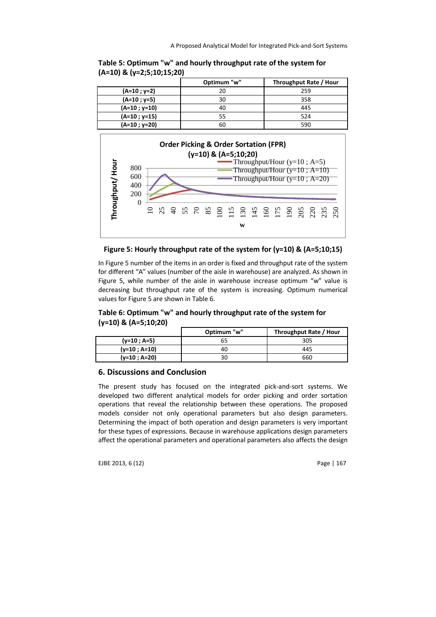|                | Optimum "w" | Throughput Rate / Hour |
|----------------|-------------|------------------------|
| $(A=10; y=2)$  | 20          | 259                    |
| $(A=10; y=5)$  | ٩N          | 358                    |
| $(A=10; y=10)$ |             | 445                    |
| $(A=10; y=15)$ |             | 524                    |
| $(A=10; y=20)$ | 60          | 590                    |







In Figure 5 number of the items in an order is fixed and throughput rate of the system for different "A" values (number of the aisle in warehouse) are analyzed. As shown in Figure 5, while number of the aisle in warehouse increase optimum "w" value is decreasing but throughput rate of the system is increasing. Optimum numerical values for Figure 5 are shown in Table 6.

**Table 6: Optimum "w" and hourly throughput rate of the system for (y=10) & (A=5;10;20)**

|                | Optimum "w" | Throughput Rate / Hour |
|----------------|-------------|------------------------|
| $(y=10; A=5)$  | 65          | 305                    |
| $(y=10; A=10)$ | 40          | 445                    |
| $(y=10; A=20)$ | 30          | 660                    |

## **6. Discussions and Conclusion**

The present study has focused on the integrated pick-and-sort systems. We developed two different analytical models for order picking and order sortation operations that reveal the relationship between these operations. The proposed models consider not only operational parameters but also design parameters. Determining the impact of both operation and design parameters is very important for these types of expressions. Because in warehouse applications design parameters affect the operational parameters and operational parameters also affects the design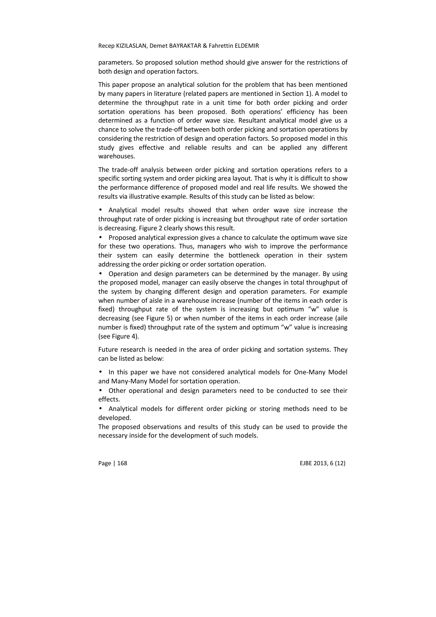parameters. So proposed solution method should give answer for the restrictions of both design and operation factors.

This paper propose an analytical solution for the problem that has been mentioned by many papers in literature (related papers are mentioned in Section 1). A model to determine the throughput rate in a unit time for both order picking and order sortation operations has been proposed. Both operations' efficiency has been determined as a function of order wave size. Resultant analytical model give us a chance to solve the trade-off between both order picking and sortation operations by considering the restriction of design and operation factors. So proposed model in this study gives effective and reliable results and can be applied any different warehouses.

The trade-off analysis between order picking and sortation operations refers to a specific sorting system and order picking area layout. That is why it is difficult to show the performance difference of proposed model and real life results. We showed the results via illustrative example. Results of this study can be listed as below:

• Analytical model results showed that when order wave size increase the throughput rate of order picking is increasing but throughput rate of order sortation is decreasing. Figure 2 clearly shows this result.

• Proposed analytical expression gives a chance to calculate the optimum wave size for these two operations. Thus, managers who wish to improve the performance their system can easily determine the bottleneck operation in their system addressing the order picking or order sortation operation.

• Operation and design parameters can be determined by the manager. By using the proposed model, manager can easily observe the changes in total throughput of the system by changing different design and operation parameters. For example when number of aisle in a warehouse increase (number of the items in each order is fixed) throughput rate of the system is increasing but optimum "w" value is decreasing (see Figure 5) or when number of the items in each order increase (aile number is fixed) throughput rate of the system and optimum "w" value is increasing (see Figure 4).

Future research is needed in the area of order picking and sortation systems. They can be listed as below:

• In this paper we have not considered analytical models for One-Many Model and Many-Many Model for sortation operation.

• Other operational and design parameters need to be conducted to see their effects.

• Analytical models for different order picking or storing methods need to be developed.

The proposed observations and results of this study can be used to provide the necessary inside for the development of such models.

Page | 168 EJBE 2013, 6 (12)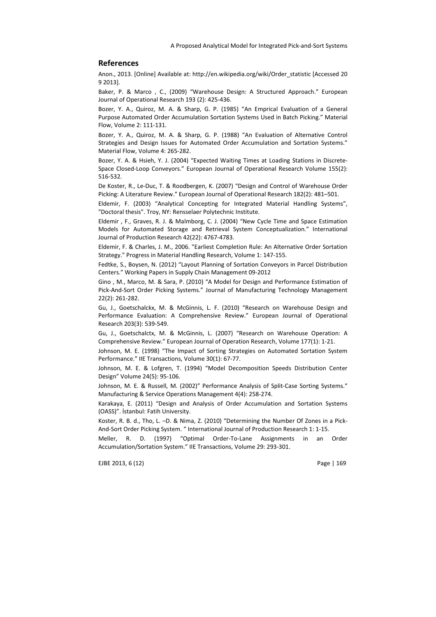#### **References**

Anon., 2013. [Online] Available at: http://en.wikipedia.org/wiki/Order\_statistic [Accessed 20 9 2013].

Baker, P. & Marco , C., (2009) "Warehouse Design: A Structured Approach." European Journal of Operational Research 193 (2): 425-436.

Bozer, Y. A., Quiroz, M. A. & Sharp, G. P. (1985) "An Emprical Evaluation of a General Purpose Automated Order Accumulation Sortation Systems Used in Batch Picking." Material Flow, Volume 2: 111-131.

Bozer, Y. A., Quiroz, M. A. & Sharp, G. P. (1988) "An Evaluation of Alternative Control Strategies and Design Issues for Automated Order Accumulation and Sortation Systems." Material Flow, Volume 4: 265-282.

Bozer, Y. A. & Hsieh, Y. J. (2004) "Expected Waiting Times at Loading Stations in Discrete-Space Closed-Loop Conveyors." European Journal of Operational Research Volume 155(2): 516-532.

De Koster, R., Le-Duc, T. & Roodbergen, K. (2007) "Design and Control of Warehouse Order Picking: A Literature Review." European Journal of Operational Research 182(2): 481–501.

Eldemir, F. (2003) "Analytical Concepting for Integrated Material Handling Systems", "Doctoral thesis". Troy, NY: Rensselaer Polytechnic Institute.

Eldemir , F., Graves, R. J. & Malmborg, C. J. (2004) "New Cycle Time and Space Estimation Models for Automated Storage and Retrieval System Conceptualization." International Journal of Production Research 42(22): 4767-4783.

Eldemir, F. & Charles, J. M., 2006. "Earliest Completion Rule: An Alternative Order Sortation Strategy." Progress in Material Handling Research, Volume 1: 147-155.

Fedtke, S., Boysen, N. (2012) "Layout Planning of Sortation Conveyors in Parcel Distribution Centers." Working Papers in Supply Chain Management 09-2012

Gino , M., Marco, M. & Sara, P. (2010) "A Model for Design and Performance Estimation of Pick-And-Sort Order Picking Systems." Journal of Manufacturing Technology Management 22(2): 261-282.

Gu, J., Goetschalckx, M. & McGinnis, L. F. (2010) "Research on Warehouse Design and Performance Evaluation: A Comprehensive Review." European Journal of Operational Research 203(3): 539-549.

Gu, J., Goetschalctx, M. & McGinnis, L. (2007) "Research on Warehouse Operation: A Comprehensive Review." European Journal of Operation Research, Volume 177(1): 1-21.

Johnson, M. E. (1998) "The Impact of Sorting Strategies on Automated Sortation System Performance." IIE Transactions, Volume 30(1): 67-77.

Johnson, M. E. & Lofgren, T. (1994) "Model Decomposition Speeds Distribution Center Design" Volume 24(5): 95-106.

Johnson, M. E. & Russell, M. (2002)" Performance Analysis of Split-Case Sorting Systems." Manufacturing & Service Operations Management 4(4): 258-274.

Karakaya, E. (2011) "Design and Analysis of Order Accumulation and Sortation Systems (OASS)". İstanbul: Fatih University.

Koster, R. B. d., Tho, L. –D. & Nima, Z. (2010) "Determining the Number Of Zones in a Pick-And-Sort Order Picking System. " International Journal of Production Research 1: 1-15.

Meller, R. D. (1997) "Optimal Order-To-Lane Assignments in an Order Accumulation/Sortation System." IIE Transactions, Volume 29: 293-301.